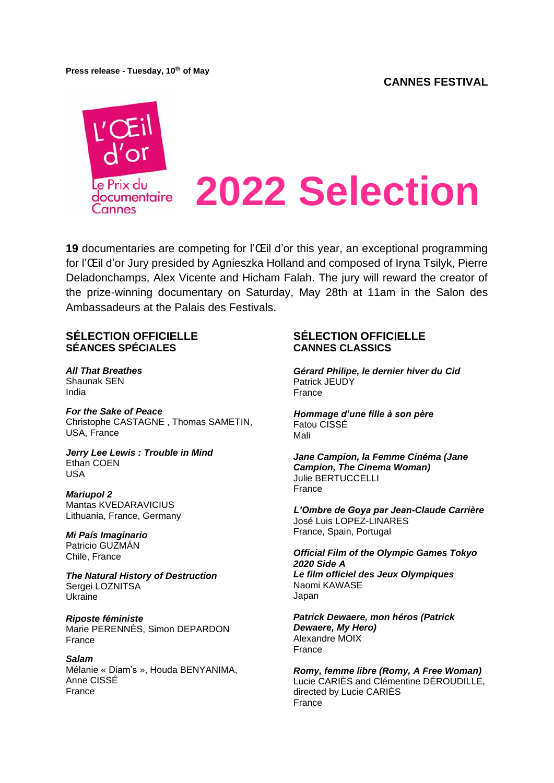**Press release - Tuesday, 10th of May**



**19** documentaries are competing for l'Œil d'or this year, an exceptional programming for l'Œil d'or Jury presided by Agnieszka Holland and composed of Iryna Tsilyk, Pierre Deladonchamps, Alex Vicente and Hicham Falah. The jury will reward the creator of the prize-winning documentary on Saturday, May 28th at 11am in the Salon des Ambassadeurs at the Palais des Festivals.

## **SÉLECTION OFFICIELLE SÉANCES SPÉCIALES**

*All That Breathes* Shaunak SEN India

*For the Sake of Peace* Christophe [CASTAGNE](https://www.festival-cannes.com/fr/festival/artiste/christophe-castagne) , Thomas [SAMETIN,](https://www.festival-cannes.com/fr/festival/artiste/thomas-sametin) USA, France

*Jerry Lee Lewis : Trouble in Mind* Ethan COEN USA

*Mariupol 2* Mantas KVEDARAVICIUS Lithuania, France, Germany

*Mi País Imaginario* Patricio GUZMÁN Chile, France

*The Natural History of Destruction* Sergei LOZNITSA Ukraine

*Riposte féministe* Marie PERENNÈS, Simon DEPARDON France

*Salam* Mélanie « Diam's », Houda BENYANIMA, Anne CISSÉ France

## **SÉLECTION OFFICIELLE CANNES CLASSICS**

*Gérard Philipe, le dernier hiver du Cid* Patrick JEUDY France

*Hommage d'une fille à son père* Fatou CISSÉ Mali

*Jane Campion, la Femme Cinéma (Jane Campion, The Cinema Woman)* Julie BERTUCCELLI France

*L'Ombre de Goya par Jean-Claude Carrière* José Luis LOPEZ-LINARES France, Spain, Portugal

#### *Official Film of the Olympic Games Tokyo 2020 Side A Le film officiel des Jeux Olympiques* Naomi KAWASE Japan

*Patrick Dewaere, mon héros (Patrick Dewaere, My Hero)* Alexandre MOIX France

*Romy, femme libre (Romy, A Free Woman)* Lucie CARIÈS and Clémentine DÉROUDILLE, directed by Lucie CARIÈS France